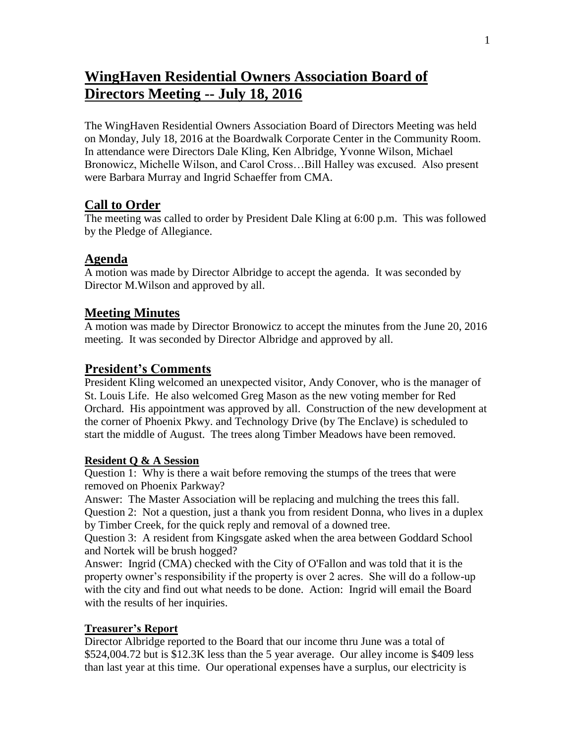## **WingHaven Residential Owners Association Board of Directors Meeting -- July 18, 2016**

The WingHaven Residential Owners Association Board of Directors Meeting was held on Monday, July 18, 2016 at the Boardwalk Corporate Center in the Community Room. In attendance were Directors Dale Kling, Ken Albridge, Yvonne Wilson, Michael Bronowicz, Michelle Wilson, and Carol Cross…Bill Halley was excused. Also present were Barbara Murray and Ingrid Schaeffer from CMA.

## **Call to Order**

The meeting was called to order by President Dale Kling at 6:00 p.m. This was followed by the Pledge of Allegiance.

## **Agenda**

A motion was made by Director Albridge to accept the agenda. It was seconded by Director M.Wilson and approved by all.

## **Meeting Minutes**

A motion was made by Director Bronowicz to accept the minutes from the June 20, 2016 meeting. It was seconded by Director Albridge and approved by all.

## **President's Comments**

President Kling welcomed an unexpected visitor, Andy Conover, who is the manager of St. Louis Life. He also welcomed Greg Mason as the new voting member for Red Orchard. His appointment was approved by all. Construction of the new development at the corner of Phoenix Pkwy. and Technology Drive (by The Enclave) is scheduled to start the middle of August. The trees along Timber Meadows have been removed.

#### **Resident Q & A Session**

Question 1: Why is there a wait before removing the stumps of the trees that were removed on Phoenix Parkway?

Answer: The Master Association will be replacing and mulching the trees this fall. Question 2: Not a question, just a thank you from resident Donna, who lives in a duplex by Timber Creek, for the quick reply and removal of a downed tree.

Question 3: A resident from Kingsgate asked when the area between Goddard School and Nortek will be brush hogged?

Answer: Ingrid (CMA) checked with the City of O'Fallon and was told that it is the property owner's responsibility if the property is over 2 acres. She will do a follow-up with the city and find out what needs to be done. Action: Ingrid will email the Board with the results of her inquiries.

### **Treasurer's Report**

Director Albridge reported to the Board that our income thru June was a total of \$524,004.72 but is \$12.3K less than the 5 year average. Our alley income is \$409 less than last year at this time. Our operational expenses have a surplus, our electricity is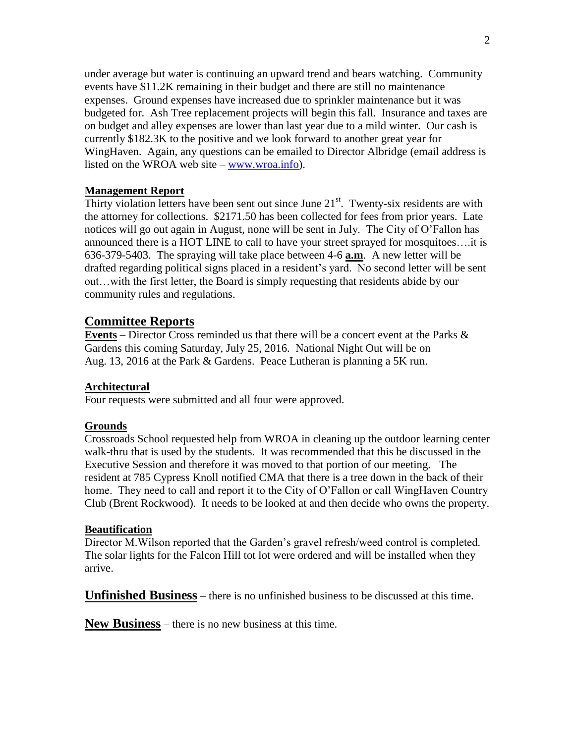under average but water is continuing an upward trend and bears watching. Community events have \$11.2K remaining in their budget and there are still no maintenance expenses. Ground expenses have increased due to sprinkler maintenance but it was budgeted for. Ash Tree replacement projects will begin this fall. Insurance and taxes are on budget and alley expenses are lower than last year due to a mild winter. Our cash is currently \$182.3K to the positive and we look forward to another great year for WingHaven. Again, any questions can be emailed to Director Albridge (email address is listed on the WROA web site – [www.wroa.info\)](http://www.wroa.info/).

#### **Management Report**

Thirty violation letters have been sent out since June  $21<sup>st</sup>$ . Twenty-six residents are with the attorney for collections. \$2171.50 has been collected for fees from prior years. Late notices will go out again in August, none will be sent in July. The City of O'Fallon has announced there is a HOT LINE to call to have your street sprayed for mosquitoes….it is 636-379-5403. The spraying will take place between 4-6 **a.m**. A new letter will be drafted regarding political signs placed in a resident's yard. No second letter will be sent out…with the first letter, the Board is simply requesting that residents abide by our community rules and regulations.

#### **Committee Reports**

**Events** – Director Cross reminded us that there will be a concert event at the Parks & Gardens this coming Saturday, July 25, 2016. National Night Out will be on Aug. 13, 2016 at the Park & Gardens. Peace Lutheran is planning a 5K run.

#### **Architectural**

Four requests were submitted and all four were approved.

#### **Grounds**

Crossroads School requested help from WROA in cleaning up the outdoor learning center walk-thru that is used by the students. It was recommended that this be discussed in the Executive Session and therefore it was moved to that portion of our meeting. The resident at 785 Cypress Knoll notified CMA that there is a tree down in the back of their home. They need to call and report it to the City of O'Fallon or call WingHaven Country Club (Brent Rockwood). It needs to be looked at and then decide who owns the property.

#### **Beautification**

Director M.Wilson reported that the Garden's gravel refresh/weed control is completed. The solar lights for the Falcon Hill tot lot were ordered and will be installed when they arrive.

**Unfinished Business** – there is no unfinished business to be discussed at this time.

**New Business** – there is no new business at this time.